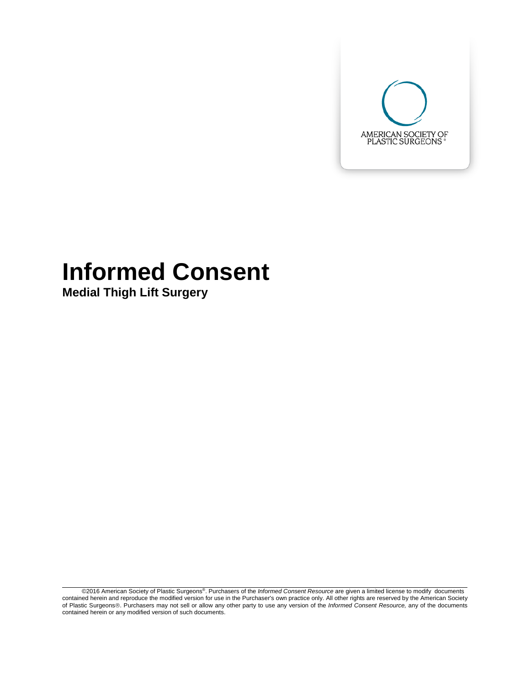

# **Informed Consent**

**Medial Thigh Lift Surgery**

@2016 American Society of Plastic Surgeons®. Purchasers of the *Informed Consent Resource* are given a limited license to modify documents contained herein and reproduce the modified version for use in the Purchaser's own of Plastic Surgeons®. Purchasers may not sell or allow any other party to use any version of the *Informed Consent Resource*, any of the documents contained herein or any modified version of such documents.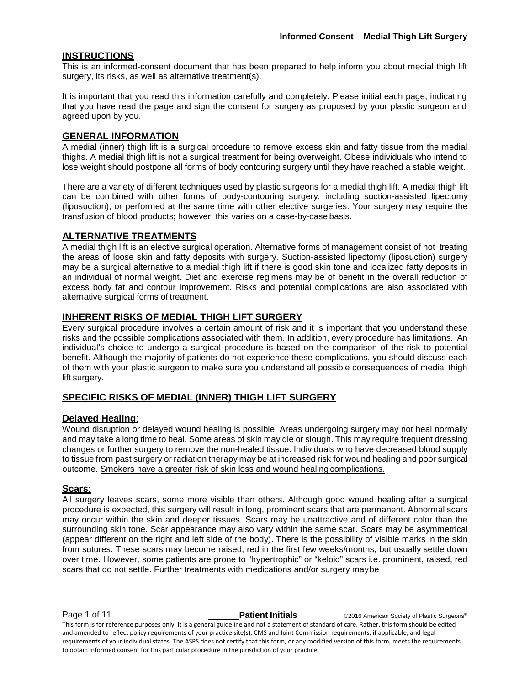# **INSTRUCTIONS**

This is an informed-consent document that has been prepared to help inform you about medial thigh lift surgery, its risks, as well as alternative treatment(s).

It is important that you read this information carefully and completely. Please initial each page, indicating that you have read the page and sign the consent for surgery as proposed by your plastic surgeon and agreed upon by you.

# **GENERAL INFORMATION**

A medial (inner) thigh lift is a surgical procedure to remove excess skin and fatty tissue from the medial thighs. A medial thigh lift is not a surgical treatment for being overweight. Obese individuals who intend to lose weight should postpone all forms of body contouring surgery until they have reached a stable weight.

There are a variety of different techniques used by plastic surgeons for a medial thigh lift. A medial thigh lift can be combined with other forms of body-contouring surgery, including suction-assisted lipectomy (liposuction), or performed at the same time with other elective surgeries. Your surgery may require the transfusion of blood products; however, this varies on a case-by-case basis.

## **ALTERNATIVE TREATMENTS**

A medial thigh lift is an elective surgical operation. Alternative forms of management consist of not treating the areas of loose skin and fatty deposits with surgery. Suction-assisted lipectomy (liposuction) surgery may be a surgical alternative to a medial thigh lift if there is good skin tone and localized fatty deposits in an individual of normal weight. Diet and exercise regimens may be of benefit in the overall reduction of excess body fat and contour improvement. Risks and potential complications are also associated with alternative surgical forms of treatment.

# **INHERENT RISKS OF MEDIAL THIGH LIFT SURGERY**

Every surgical procedure involves a certain amount of risk and it is important that you understand these risks and the possible complications associated with them. In addition, every procedure has limitations. An individual's choice to undergo a surgical procedure is based on the comparison of the risk to potential benefit. Although the majority of patients do not experience these complications, you should discuss each of them with your plastic surgeon to make sure you understand all possible consequences of medial thigh lift surgery.

# **SPECIFIC RISKS OF MEDIAL (INNER) THIGH LIFT SURGERY**

#### **Delayed Healing**:

Wound disruption or delayed wound healing is possible. Areas undergoing surgery may not heal normally and may take a long time to heal. Some areas of skin may die or slough. This may require frequent dressing changes or further surgery to remove the non-healed tissue. Individuals who have decreased blood supply to tissue from past surgery or radiation therapy may be at increased risk for wound healing and poor surgical outcome. Smokers have a greater risk of skin loss and wound healing complications.

#### **Scars**:

All surgery leaves scars, some more visible than others. Although good wound healing after a surgical procedure is expected, this surgery will result in long, prominent scars that are permanent. Abnormal scars may occur within the skin and deeper tissues. Scars may be unattractive and of different color than the surrounding skin tone. Scar appearance may also vary within the same scar. Scars may be asymmetrical (appear different on the right and left side of the body). There is the possibility of visible marks in the skin from sutures. These scars may become raised, red in the first few weeks/months, but usually settle down over time. However, some patients are prone to "hypertrophic" or "keloid" scars i.e. prominent, raised, red scars that do not settle. Further treatments with medications and/or surgery maybe

**Page 1 of 11 Patient Initials Patient Initials** ©2016 American Society of Plastic Surgeons® This form is for reference purposes only. It is a general guideline and not a statement of standard of care. Rather, this form should be edited and amended to reflect policy requirements of your practice site(s), CMS and Joint Commission requirements, if applicable, and legal requirements of your individual states. The ASPS does not certify that this form, or any modified version of this form, meets the requirements to obtain informed consent for this particular procedure in the jurisdiction of your practice.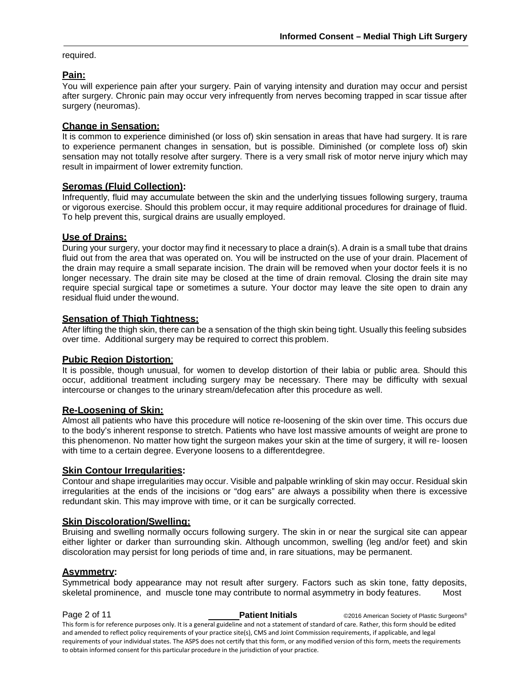required.

# **Pain:**

You will experience pain after your surgery. Pain of varying intensity and duration may occur and persist after surgery. Chronic pain may occur very infrequently from nerves becoming trapped in scar tissue after surgery (neuromas).

# **Change in Sensation:**

It is common to experience diminished (or loss of) skin sensation in areas that have had surgery. It is rare to experience permanent changes in sensation, but is possible. Diminished (or complete loss of) skin sensation may not totally resolve after surgery. There is a very small risk of motor nerve injury which may result in impairment of lower extremity function.

# **Seromas (Fluid Collection):**

Infrequently, fluid may accumulate between the skin and the underlying tissues following surgery, trauma or vigorous exercise. Should this problem occur, it may require additional procedures for drainage of fluid. To help prevent this, surgical drains are usually employed.

# **Use of Drains:**

During your surgery, your doctor may find it necessary to place a drain(s). A drain is a small tube that drains fluid out from the area that was operated on. You will be instructed on the use of your drain. Placement of the drain may require a small separate incision. The drain will be removed when your doctor feels it is no longer necessary. The drain site may be closed at the time of drain removal. Closing the drain site may require special surgical tape or sometimes a suture. Your doctor may leave the site open to drain any residual fluid under the wound.

# **Sensation of Thigh Tightness:**

After lifting the thigh skin, there can be a sensation of the thigh skin being tight. Usually this feeling subsides over time. Additional surgery may be required to correct this problem.

# **Pubic Region Distortion**:

It is possible, though unusual, for women to develop distortion of their labia or public area. Should this occur, additional treatment including surgery may be necessary. There may be difficulty with sexual intercourse or changes to the urinary stream/defecation after this procedure as well.

# **Re-Loosening of Skin:**

Almost all patients who have this procedure will notice re-loosening of the skin over time. This occurs due to the body's inherent response to stretch. Patients who have lost massive amounts of weight are prone to this phenomenon. No matter how tight the surgeon makes your skin at the time of surgery, it will re- loosen with time to a certain degree. Everyone loosens to a differentdegree.

# **Skin Contour Irregularities:**

Contour and shape irregularities may occur. Visible and palpable wrinkling of skin may occur. Residual skin irregularities at the ends of the incisions or "dog ears" are always a possibility when there is excessive redundant skin. This may improve with time, or it can be surgically corrected.

#### **Skin Discoloration/Swelling:**

Bruising and swelling normally occurs following surgery. The skin in or near the surgical site can appear either lighter or darker than surrounding skin. Although uncommon, swelling (leg and/or feet) and skin discoloration may persist for long periods of time and, in rare situations, may be permanent.

# **Asymmetry:**

Symmetrical body appearance may not result after surgery. Factors such as skin tone, fatty deposits, skeletal prominence, and muscle tone may contribute to normal asymmetry in body features. Most

**Page 2 of 11 Patient Initials** ©2016 American Society of Plastic Surgeons<sup>®</sup> This form is for reference purposes only. It is a general guideline and not a statement of standard of care. Rather, this form should be edited and amended to reflect policy requirements of your practice site(s), CMS and Joint Commission requirements, if applicable, and legal requirements of your individual states. The ASPS does not certify that this form, or any modified version of this form, meets the requirements to obtain informed consent for this particular procedure in the jurisdiction of your practice.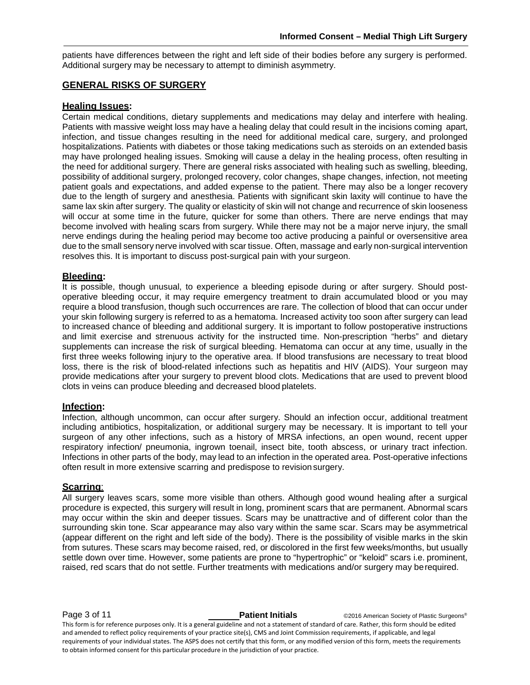patients have differences between the right and left side of their bodies before any surgery is performed. Additional surgery may be necessary to attempt to diminish asymmetry.

# **GENERAL RISKS OF SURGERY**

#### **Healing Issues:**

Certain medical conditions, dietary supplements and medications may delay and interfere with healing. Patients with massive weight loss may have a healing delay that could result in the incisions coming apart, infection, and tissue changes resulting in the need for additional medical care, surgery, and prolonged hospitalizations. Patients with diabetes or those taking medications such as steroids on an extended basis may have prolonged healing issues. Smoking will cause a delay in the healing process, often resulting in the need for additional surgery. There are general risks associated with healing such as swelling, bleeding, possibility of additional surgery, prolonged recovery, color changes, shape changes, infection, not meeting patient goals and expectations, and added expense to the patient. There may also be a longer recovery due to the length of surgery and anesthesia. Patients with significant skin laxity will continue to have the same lax skin after surgery. The quality or elasticity of skin will not change and recurrence of skin looseness will occur at some time in the future, quicker for some than others. There are nerve endings that may become involved with healing scars from surgery. While there may not be a major nerve injury, the small nerve endings during the healing period may become too active producing a painful or oversensitive area due to the small sensory nerve involved with scar tissue. Often, massage and early non-surgical intervention resolves this. It is important to discuss post-surgical pain with your surgeon.

## **Bleeding:**

It is possible, though unusual, to experience a bleeding episode during or after surgery. Should postoperative bleeding occur, it may require emergency treatment to drain accumulated blood or you may require a blood transfusion, though such occurrences are rare. The collection of blood that can occur under your skin following surgery is referred to as a hematoma. Increased activity too soon after surgery can lead to increased chance of bleeding and additional surgery. It is important to follow postoperative instructions and limit exercise and strenuous activity for the instructed time. Non-prescription "herbs" and dietary supplements can increase the risk of surgical bleeding. Hematoma can occur at any time, usually in the first three weeks following injury to the operative area. If blood transfusions are necessary to treat blood loss, there is the risk of blood-related infections such as hepatitis and HIV (AIDS). Your surgeon may provide medications after your surgery to prevent blood clots. Medications that are used to prevent blood clots in veins can produce bleeding and decreased blood platelets.

# **Infection:**

Infection, although uncommon, can occur after surgery. Should an infection occur, additional treatment including antibiotics, hospitalization, or additional surgery may be necessary. It is important to tell your surgeon of any other infections, such as a history of MRSA infections, an open wound, recent upper respiratory infection/ pneumonia, ingrown toenail, insect bite, tooth abscess, or urinary tract infection. Infections in other parts of the body, may lead to an infection in the operated area. Post-operative infections often result in more extensive scarring and predispose to revision surgery.

# **Scarring**:

All surgery leaves scars, some more visible than others. Although good wound healing after a surgical procedure is expected, this surgery will result in long, prominent scars that are permanent. Abnormal scars may occur within the skin and deeper tissues. Scars may be unattractive and of different color than the surrounding skin tone. Scar appearance may also vary within the same scar. Scars may be asymmetrical (appear different on the right and left side of the body). There is the possibility of visible marks in the skin from sutures. These scars may become raised, red, or discolored in the first few weeks/months, but usually settle down over time. However, some patients are prone to "hypertrophic" or "keloid" scars i.e. prominent, raised, red scars that do not settle. Further treatments with medications and/or surgery may berequired.

**Page 3 of 11 Patient Initials** ©2016 American Society of Plastic Surgeons<sup>®</sup> This form is for reference purposes only. It is a general guideline and not a statement of standard of care. Rather, this form should be edited and amended to reflect policy requirements of your practice site(s), CMS and Joint Commission requirements, if applicable, and legal requirements of your individual states. The ASPS does not certify that this form, or any modified version of this form, meets the requirements to obtain informed consent for this particular procedure in the jurisdiction of your practice.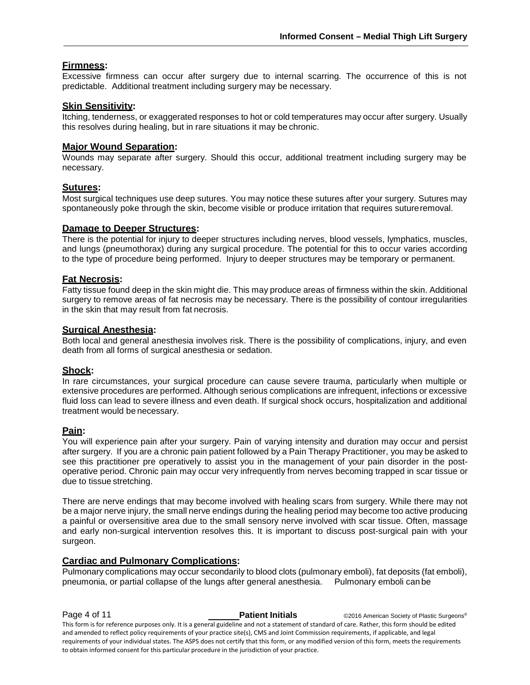# **Firmness:**

Excessive firmness can occur after surgery due to internal scarring. The occurrence of this is not predictable. Additional treatment including surgery may be necessary.

## **Skin Sensitivity:**

Itching, tenderness, or exaggerated responses to hot or cold temperatures may occur after surgery. Usually this resolves during healing, but in rare situations it may be chronic.

## **Major Wound Separation:**

Wounds may separate after surgery. Should this occur, additional treatment including surgery may be necessary.

## **Sutures:**

Most surgical techniques use deep sutures. You may notice these sutures after your surgery. Sutures may spontaneously poke through the skin, become visible or produce irritation that requires sutureremoval.

#### **Damage to Deeper Structures:**

There is the potential for injury to deeper structures including nerves, blood vessels, lymphatics, muscles, and lungs (pneumothorax) during any surgical procedure. The potential for this to occur varies according to the type of procedure being performed. Injury to deeper structures may be temporary or permanent.

## **Fat Necrosis:**

Fatty tissue found deep in the skin might die. This may produce areas of firmness within the skin. Additional surgery to remove areas of fat necrosis may be necessary. There is the possibility of contour irregularities in the skin that may result from fat necrosis.

#### **Surgical Anesthesia:**

Both local and general anesthesia involves risk. There is the possibility of complications, injury, and even death from all forms of surgical anesthesia or sedation.

#### **Shock:**

In rare circumstances, your surgical procedure can cause severe trauma, particularly when multiple or extensive procedures are performed. Although serious complications are infrequent, infections or excessive fluid loss can lead to severe illness and even death. If surgical shock occurs, hospitalization and additional treatment would be necessary.

#### **Pain:**

You will experience pain after your surgery. Pain of varying intensity and duration may occur and persist after surgery. If you are a chronic pain patient followed by a Pain Therapy Practitioner, you may be asked to see this practitioner pre operatively to assist you in the management of your pain disorder in the postoperative period. Chronic pain may occur very infrequently from nerves becoming trapped in scar tissue or due to tissue stretching.

There are nerve endings that may become involved with healing scars from surgery. While there may not be a major nerve injury, the small nerve endings during the healing period may become too active producing a painful or oversensitive area due to the small sensory nerve involved with scar tissue. Often, massage and early non-surgical intervention resolves this. It is important to discuss post-surgical pain with your surgeon.

# **Cardiac and Pulmonary Complications:**

Pulmonary complications may occur secondarily to blood clots (pulmonary emboli), fat deposits (fat emboli), pneumonia, or partial collapse of the lungs after general anesthesia. Pulmonary emboli can be

**Page 4 of 11 Patient Initials** ©2016 American Society of Plastic Surgeons® This form is for reference purposes only. It is a general guideline and not a statement of standard of care. Rather, this form should be edited and amended to reflect policy requirements of your practice site(s), CMS and Joint Commission requirements, if applicable, and legal requirements of your individual states. The ASPS does not certify that this form, or any modified version of this form, meets the requirements to obtain informed consent for this particular procedure in the jurisdiction of your practice.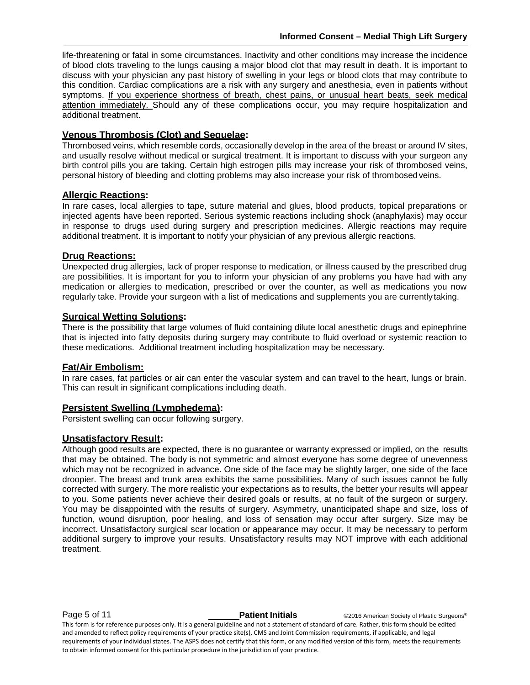life-threatening or fatal in some circumstances. Inactivity and other conditions may increase the incidence of blood clots traveling to the lungs causing a major blood clot that may result in death. It is important to discuss with your physician any past history of swelling in your legs or blood clots that may contribute to this condition. Cardiac complications are a risk with any surgery and anesthesia, even in patients without symptoms. If you experience shortness of breath, chest pains, or unusual heart beats, seek medical attention immediately. Should any of these complications occur, you may require hospitalization and additional treatment.

# **Venous Thrombosis (Clot) and Sequelae:**

Thrombosed veins, which resemble cords, occasionally develop in the area of the breast or around IV sites, and usually resolve without medical or surgical treatment. It is important to discuss with your surgeon any birth control pills you are taking. Certain high estrogen pills may increase your risk of thrombosed veins, personal history of bleeding and clotting problems may also increase your risk of thrombosedveins.

# **Allergic Reactions:**

In rare cases, local allergies to tape, suture material and glues, blood products, topical preparations or injected agents have been reported. Serious systemic reactions including shock (anaphylaxis) may occur in response to drugs used during surgery and prescription medicines. Allergic reactions may require additional treatment. It is important to notify your physician of any previous allergic reactions.

# **Drug Reactions:**

Unexpected drug allergies, lack of proper response to medication, or illness caused by the prescribed drug are possibilities. It is important for you to inform your physician of any problems you have had with any medication or allergies to medication, prescribed or over the counter, as well as medications you now regularly take. Provide your surgeon with a list of medications and supplements you are currentlytaking.

# **Surgical Wetting Solutions:**

There is the possibility that large volumes of fluid containing dilute local anesthetic drugs and epinephrine that is injected into fatty deposits during surgery may contribute to fluid overload or systemic reaction to these medications. Additional treatment including hospitalization may be necessary.

# **Fat/Air Embolism:**

In rare cases, fat particles or air can enter the vascular system and can travel to the heart, lungs or brain. This can result in significant complications including death.

# **Persistent Swelling (Lymphedema):**

Persistent swelling can occur following surgery.

# **Unsatisfactory Result:**

Although good results are expected, there is no guarantee or warranty expressed or implied, on the results that may be obtained. The body is not symmetric and almost everyone has some degree of unevenness which may not be recognized in advance. One side of the face may be slightly larger, one side of the face droopier. The breast and trunk area exhibits the same possibilities. Many of such issues cannot be fully corrected with surgery. The more realistic your expectations as to results, the better your results will appear to you. Some patients never achieve their desired goals or results, at no fault of the surgeon or surgery. You may be disappointed with the results of surgery. Asymmetry, unanticipated shape and size, loss of function, wound disruption, poor healing, and loss of sensation may occur after surgery. Size may be incorrect. Unsatisfactory surgical scar location or appearance may occur. It may be necessary to perform additional surgery to improve your results. Unsatisfactory results may NOT improve with each additional treatment.

**Page 5 of 11 Patient Initials** ©2016 American Society of Plastic Surgeons<sup>®</sup> This form is for reference purposes only. It is a general guideline and not a statement of standard of care. Rather, this form should be edited and amended to reflect policy requirements of your practice site(s), CMS and Joint Commission requirements, if applicable, and legal requirements of your individual states. The ASPS does not certify that this form, or any modified version of this form, meets the requirements to obtain informed consent for this particular procedure in the jurisdiction of your practice.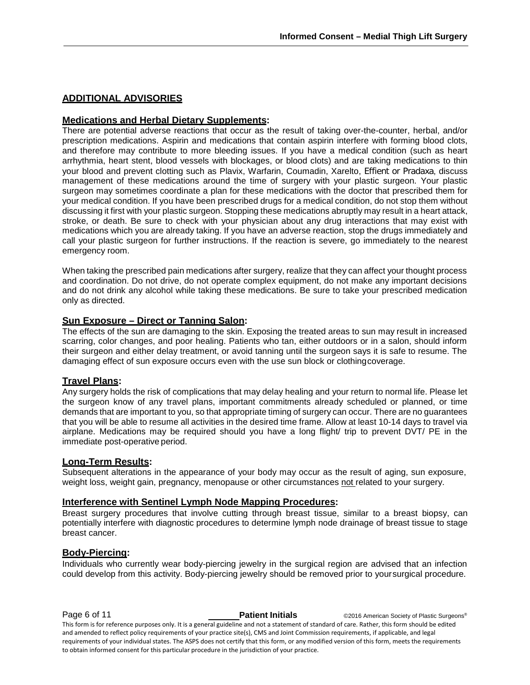# **ADDITIONAL ADVISORIES**

## **Medications and Herbal Dietary Supplements:**

There are potential adverse reactions that occur as the result of taking over-the-counter, herbal, and/or prescription medications. Aspirin and medications that contain aspirin interfere with forming blood clots, and therefore may contribute to more bleeding issues. If you have a medical condition (such as heart arrhythmia, heart stent, blood vessels with blockages, or blood clots) and are taking medications to thin your blood and prevent clotting such as Plavix, Warfarin, Coumadin, Xarelto, Effient or Pradaxa, discuss management of these medications around the time of surgery with your plastic surgeon. Your plastic surgeon may sometimes coordinate a plan for these medications with the doctor that prescribed them for your medical condition. If you have been prescribed drugs for a medical condition, do not stop them without discussing it first with your plastic surgeon. Stopping these medications abruptly may result in a heart attack, stroke, or death. Be sure to check with your physician about any drug interactions that may exist with medications which you are already taking. If you have an adverse reaction, stop the drugs immediately and call your plastic surgeon for further instructions. If the reaction is severe, go immediately to the nearest emergency room.

When taking the prescribed pain medications after surgery, realize that they can affect your thought process and coordination. Do not drive, do not operate complex equipment, do not make any important decisions and do not drink any alcohol while taking these medications. Be sure to take your prescribed medication only as directed.

# **Sun Exposure – Direct or Tanning Salon:**

The effects of the sun are damaging to the skin. Exposing the treated areas to sun may result in increased scarring, color changes, and poor healing. Patients who tan, either outdoors or in a salon, should inform their surgeon and either delay treatment, or avoid tanning until the surgeon says it is safe to resume. The damaging effect of sun exposure occurs even with the use sun block or clothingcoverage.

# **Travel Plans:**

Any surgery holds the risk of complications that may delay healing and your return to normal life. Please let the surgeon know of any travel plans, important commitments already scheduled or planned, or time demands that are important to you, so that appropriate timing of surgery can occur. There are no guarantees that you will be able to resume all activities in the desired time frame. Allow at least 10-14 days to travel via airplane. Medications may be required should you have a long flight/ trip to prevent DVT/ PE in the immediate post-operative period.

# **Long-Term Results:**

Subsequent alterations in the appearance of your body may occur as the result of aging, sun exposure, weight loss, weight gain, pregnancy, menopause or other circumstances not related to your surgery.

# **Interference with Sentinel Lymph Node Mapping Procedures:**

Breast surgery procedures that involve cutting through breast tissue, similar to a breast biopsy, can potentially interfere with diagnostic procedures to determine lymph node drainage of breast tissue to stage breast cancer.

# **Body-Piercing:**

Individuals who currently wear body-piercing jewelry in the surgical region are advised that an infection could develop from this activity. Body-piercing jewelry should be removed prior to yoursurgical procedure.

**Page 6 of 11 Patient Initials Patient Initials** ©2016 American Society of Plastic Surgeons® This form is for reference purposes only. It is a general guideline and not a statement of standard of care. Rather, this form should be edited and amended to reflect policy requirements of your practice site(s), CMS and Joint Commission requirements, if applicable, and legal requirements of your individual states. The ASPS does not certify that this form, or any modified version of this form, meets the requirements to obtain informed consent for this particular procedure in the jurisdiction of your practice.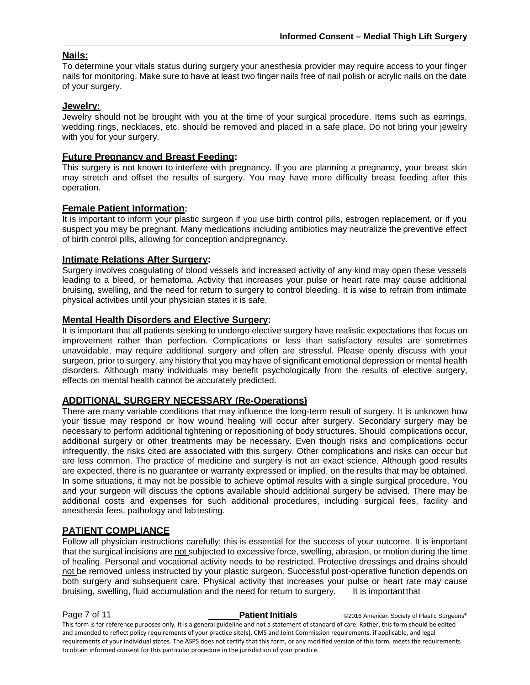# **Nails:**

To determine your vitals status during surgery your anesthesia provider may require access to your finger nails for monitoring. Make sure to have at least two finger nails free of nail polish or acrylic nails on the date of your surgery.

# **Jewelry:**

Jewelry should not be brought with you at the time of your surgical procedure. Items such as earrings, wedding rings, necklaces, etc. should be removed and placed in a safe place. Do not bring your jewelry with you for your surgery.

# **Future Pregnancy and Breast Feeding:**

This surgery is not known to interfere with pregnancy. If you are planning a pregnancy, your breast skin may stretch and offset the results of surgery. You may have more difficulty breast feeding after this operation.

## **Female Patient Information:**

It is important to inform your plastic surgeon if you use birth control pills, estrogen replacement, or if you suspect you may be pregnant. Many medications including antibiotics may neutralize the preventive effect of birth control pills, allowing for conception andpregnancy.

## **Intimate Relations After Surgery:**

Surgery involves coagulating of blood vessels and increased activity of any kind may open these vessels leading to a bleed, or hematoma. Activity that increases your pulse or heart rate may cause additional bruising, swelling, and the need for return to surgery to control bleeding. It is wise to refrain from intimate physical activities until your physician states it is safe.

## **Mental Health Disorders and Elective Surgery:**

It is important that all patients seeking to undergo elective surgery have realistic expectations that focus on improvement rather than perfection. Complications or less than satisfactory results are sometimes unavoidable, may require additional surgery and often are stressful. Please openly discuss with your surgeon, prior to surgery, any history that you may have of significant emotional depression or mental health disorders. Although many individuals may benefit psychologically from the results of elective surgery, effects on mental health cannot be accurately predicted.

# **ADDITIONAL SURGERY NECESSARY (Re-Operations)**

There are many variable conditions that may influence the long-term result of surgery. It is unknown how your tissue may respond or how wound healing will occur after surgery. Secondary surgery may be necessary to perform additional tightening or repositioning of body structures. Should complications occur, additional surgery or other treatments may be necessary. Even though risks and complications occur infrequently, the risks cited are associated with this surgery. Other complications and risks can occur but are less common. The practice of medicine and surgery is not an exact science. Although good results are expected, there is no guarantee or warranty expressed or implied, on the results that may be obtained. In some situations, it may not be possible to achieve optimal results with a single surgical procedure. You and your surgeon will discuss the options available should additional surgery be advised. There may be additional costs and expenses for such additional procedures, including surgical fees, facility and anesthesia fees, pathology and labtesting.

# **PATIENT COMPLIANCE**

Follow all physician instructions carefully; this is essential for the success of your outcome. It is important that the surgical incisions are not subjected to excessive force, swelling, abrasion, or motion during the time of healing. Personal and vocational activity needs to be restricted. Protective dressings and drains should not be removed unless instructed by your plastic surgeon. Successful post-operative function depends on both surgery and subsequent care. Physical activity that increases your pulse or heart rate may cause bruising, swelling, fluid accumulation and the need for return to surgery. It is important that

**Page 7 of 11 Patient Initials** ©2016 American Society of Plastic Surgeons<sup>®</sup> This form is for reference purposes only. It is a general guideline and not a statement of standard of care. Rather, this form should be edited and amended to reflect policy requirements of your practice site(s), CMS and Joint Commission requirements, if applicable, and legal requirements of your individual states. The ASPS does not certify that this form, or any modified version of this form, meets the requirements to obtain informed consent for this particular procedure in the jurisdiction of your practice.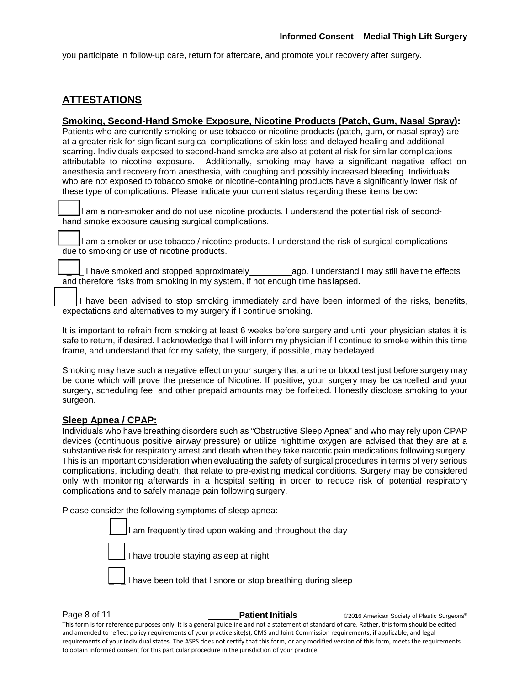you participate in follow-up care, return for aftercare, and promote your recovery after surgery.

# **ATTESTATIONS**

# **Smoking, Second-Hand Smoke Exposure, Nicotine Products (Patch, Gum, Nasal Spray):**

Patients who are currently smoking or use tobacco or nicotine products (patch, gum, or nasal spray) are at a greater risk for significant surgical complications of skin loss and delayed healing and additional scarring. Individuals exposed to second-hand smoke are also at potential risk for similar complications attributable to nicotine exposure. Additionally, smoking may have a significant negative effect on anesthesia and recovery from anesthesia, with coughing and possibly increased bleeding. Individuals who are not exposed to tobacco smoke or nicotine-containing products have a significantly lower risk of these type of complications. Please indicate your current status regarding these items below**:** 

I am a non-smoker and do not use nicotine products. I understand the potential risk of secondhand smoke exposure causing surgical complications.

I am a smoker or use tobacco / nicotine products. I understand the risk of surgical complications due to smoking or use of nicotine products.

. I have smoked and stopped approximately ago. I understand I may still have the effects and therefore risks from smoking in my system, if not enough time has lapsed.

I have been advised to stop smoking immediately and have been informed of the risks, benefits, expectations and alternatives to my surgery if I continue smoking.

It is important to refrain from smoking at least 6 weeks before surgery and until your physician states it is safe to return, if desired. I acknowledge that I will inform my physician if I continue to smoke within this time frame, and understand that for my safety, the surgery, if possible, may bedelayed.

Smoking may have such a negative effect on your surgery that a urine or blood test just before surgery may be done which will prove the presence of Nicotine. If positive, your surgery may be cancelled and your surgery, scheduling fee, and other prepaid amounts may be forfeited. Honestly disclose smoking to your surgeon.

## **Sleep Apnea / CPAP:**

Individuals who have breathing disorders such as "Obstructive Sleep Apnea" and who may rely upon CPAP devices (continuous positive airway pressure) or utilize nighttime oxygen are advised that they are at a substantive risk for respiratory arrest and death when they take narcotic pain medications following surgery. This is an important consideration when evaluating the safety of surgical procedures in terms of very serious complications, including death, that relate to pre-existing medical conditions. Surgery may be considered only with monitoring afterwards in a hospital setting in order to reduce risk of potential respiratory complications and to safely manage pain following surgery.

Please consider the following symptoms of sleep apnea:

am frequently tired upon waking and throughout the day I have trouble staying asleep at night I have been told that I snore or stop breathing during sleep

**Page 8 of 11 Patient Initials** ©2016 American Society of Plastic Surgeons<sup>®</sup> This form is for reference purposes only. It is a general guideline and not a statement of standard of care. Rather, this form should be edited and amended to reflect policy requirements of your practice site(s), CMS and Joint Commission requirements, if applicable, and legal requirements of your individual states. The ASPS does not certify that this form, or any modified version of this form, meets the requirements to obtain informed consent for this particular procedure in the jurisdiction of your practice.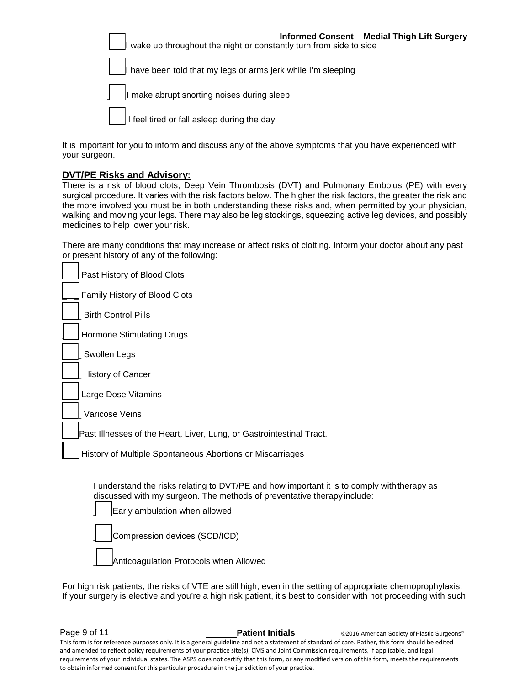| <b>Informed Consent - Medial Thigh Lift Surgery</b><br><b>Informed Consent - wed</b><br>I wake up throughout the night or constantly turn from side to side |
|-------------------------------------------------------------------------------------------------------------------------------------------------------------|
| I have been told that my legs or arms jerk while I'm sleeping                                                                                               |
| $\int$ $\ln$ make abrupt snorting noises during sleep                                                                                                       |
| I feel tired or fall asleep during the day                                                                                                                  |

It is important for you to inform and discuss any of the above symptoms that you have experienced with your surgeon.

# **DVT/PE Risks and Advisory:**

There is a risk of blood clots, Deep Vein Thrombosis (DVT) and Pulmonary Embolus (PE) with every surgical procedure. It varies with the risk factors below. The higher the risk factors, the greater the risk and the more involved you must be in both understanding these risks and, when permitted by your physician, walking and moving your legs. There may also be leg stockings, squeezing active leg devices, and possibly medicines to help lower your risk.

There are many conditions that may increase or affect risks of clotting. Inform your doctor about any past or present history of any of the following:

| Past History of Blood Clots                                                                                                                                                                                                              |
|------------------------------------------------------------------------------------------------------------------------------------------------------------------------------------------------------------------------------------------|
| Family History of Blood Clots                                                                                                                                                                                                            |
| <b>Birth Control Pills</b>                                                                                                                                                                                                               |
| Hormone Stimulating Drugs                                                                                                                                                                                                                |
| Swollen Legs                                                                                                                                                                                                                             |
| <b>History of Cancer</b>                                                                                                                                                                                                                 |
| Large Dose Vitamins                                                                                                                                                                                                                      |
| Varicose Veins                                                                                                                                                                                                                           |
| Past Illnesses of the Heart, Liver, Lung, or Gastrointestinal Tract.                                                                                                                                                                     |
| History of Multiple Spontaneous Abortions or Miscarriages                                                                                                                                                                                |
| I understand the risks relating to DVT/PE and how important it is to comply with therapy as<br>discussed with my surgeon. The methods of preventative therapy include:<br>Early ambulation when allowed<br>Compression devices (SCD/ICD) |
| Anticoagulation Protocols when Allowed                                                                                                                                                                                                   |

For high risk patients, the risks of VTE are still high, even in the setting of appropriate chemoprophylaxis. If your surgery is elective and you're a high risk patient, it's best to consider with not proceeding with such

**Page 9 of 11 Patient Initials** ©2016 American Society of Plastic Surgeons<sup>®</sup>

This form is for reference purposes only. It is a general guideline and not a statement of standard of care. Rather, this form should be edited and amended to reflect policy requirements of your practice site(s), CMS and Joint Commission requirements, if applicable, and legal requirements of your individual states. The ASPS does not certify that this form, or any modified version of this form, meets the requirements to obtain informed consent for this particular procedure in the jurisdiction of your practice.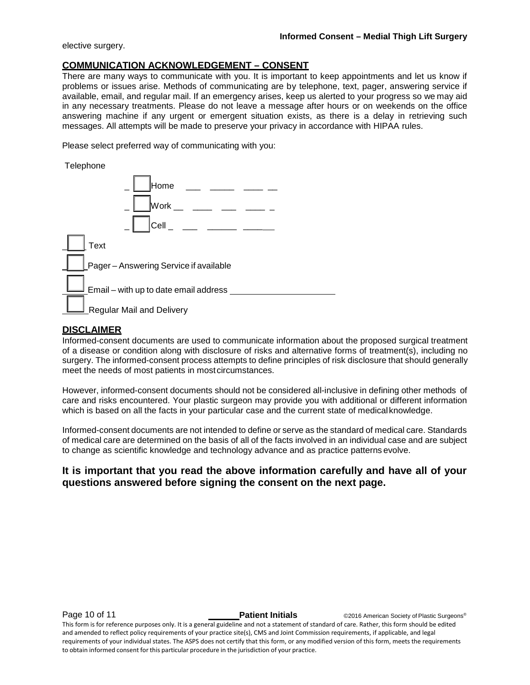elective surgery.

## **COMMUNICATION ACKNOWLEDGEMENT – CONSENT**

There are many ways to communicate with you. It is important to keep appointments and let us know if problems or issues arise. Methods of communicating are by telephone, text, pager, answering service if available, email, and regular mail. If an emergency arises, keep us alerted to your progress so we may aid in any necessary treatments. Please do not leave a message after hours or on weekends on the office answering machine if any urgent or emergent situation exists, as there is a delay in retrieving such messages. All attempts will be made to preserve your privacy in accordance with HIPAA rules.

Please select preferred way of communicating with you:

Telephone

| . <b>.</b>                                |
|-------------------------------------------|
| Home                                      |
|                                           |
| Cell _ ___ ___ ____ ____                  |
| Text                                      |
| Pager-Answering Service if available      |
| Email - with up to date email address ___ |
| <b>Regular Mail and Delivery</b>          |

# **DISCLAIMER**

Informed-consent documents are used to communicate information about the proposed surgical treatment of a disease or condition along with disclosure of risks and alternative forms of treatment(s), including no surgery. The informed-consent process attempts to define principles of risk disclosure that should generally meet the needs of most patients in mostcircumstances.

However, informed-consent documents should not be considered all-inclusive in defining other methods of care and risks encountered. Your plastic surgeon may provide you with additional or different information which is based on all the facts in your particular case and the current state of medical knowledge.

Informed-consent documents are not intended to define or serve as the standard of medical care. Standards of medical care are determined on the basis of all of the facts involved in an individual case and are subject to change as scientific knowledge and technology advance and as practice patterns evolve.

# **It is important that you read the above information carefully and have all of your questions answered before signing the consent on the next page.**

**Page 10 of 11 Patient Initials CONFIDENT CONFIDENT CONFIDENT** CONFIDENT CONFIDENT CONFIDENT CONFIDENT CONFIDENT

This form is for reference purposes only. It is a general guideline and not a statement of standard of care. Rather, this form should be edited and amended to reflect policy requirements of your practice site(s), CMS and Joint Commission requirements, if applicable, and legal requirements of your individual states. The ASPS does not certify that this form, or any modified version of this form, meets the requirements to obtain informed consent for this particular procedure in the jurisdiction of your practice.